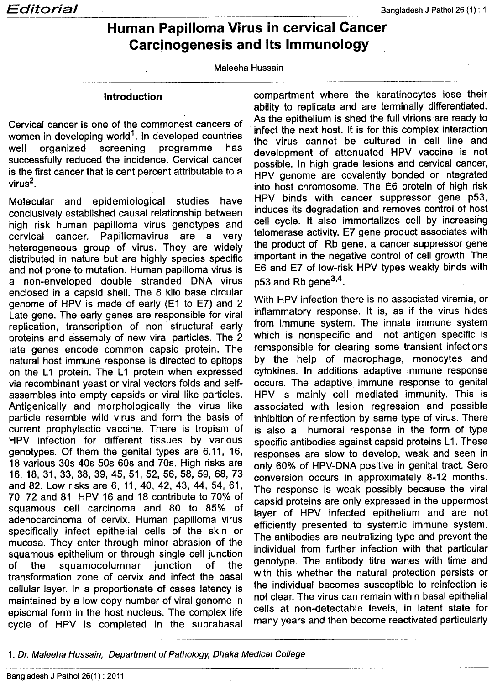## **Human Papilloma Virus in cervical Cancer Carcinogenesis and Its Immunology**

Maleeha Hussain

## **Introduction**

Cervical cancer is one of the commonest cancers of women in developing world<sup>1</sup>. In developed countries well organized screening programme has successfully reduced the incidence. Cervical cancer is the first cancer that is cent percent attributable to a virus $2$ .

Molecular and epidemiological studies have conclusively established causal relationship between high risk human papilloma virus genotypes and cervical cancer. Papillomavirus are a very heterogeneous group of virus. They are widely distributed in nature but are highly species specific and not prone to mutation. Human papilloma virus is a non-enveloped double stranded DNA virus enclosed in a capsid shell. The 8 kilo base circular genome of HPV is made of early (E1 to E7) and 2 Late gene. The early genes are responsible for viral replication, transcription of non structural early proteins and assembly of new viral particles. The 2 late genes encode common capsid protein. The natural host immune response is directed to epitops on the L1 protein. The L1 protein when expressed via recombinant yeast or viral vectors folds and selfassembles into empty capsids or viral like particles. Antigenically and morphologically the virus like particle resemble wild virus and form the basis of current prophylactic vaccine. There is tropism of HPV infection for different tissues by various genotypes. Of them the genital types are 6.11, 16, 18 various 30s 40s 50s 60s and 70s. High risks are 16,18,31,33,38,39,45,51,52,56,58,59,68,73 and 82. Low risks are 6, 11, 40, 42, 43, 44, 54, 61, 70, 72 and 81. HPV 16 and 18 contribute to 70% of squamous cell carcinoma and 80 to 85% of adenocarcinoma of cervix. Human papilloma virus specifically infect epithelial cells of the skin or mucosa. They enter through minor abrasion of the squamous epithelium or through single cell junction of the squamocolumnar junction of the transformation zone of cervix and infect the basal cellular layer. In a proportionate of cases latency is maintained by a low copy number of viral genome in episomal form in the host nucleus. The complex life cycle of HPV is completed in the suprabasal

compartment where the karatinocytes lose their ability to replicate and are terminally differentiated. As the epithelium is shed the full virions are ready to infect the next host. It is for this complex interaction the virus cannot be cultured in cell line and development of attenuated HPV vaccine is not possible. In high grade lesions and cervical cancer, HPV genome are covalently bonded or integrated into host chromosome. The E6 protein of high risk HPV binds with cancer suppressor gene p53, induces its degradation and removes control of host cell cycle. It also immortalizes cell by increasing telomerase activity. E7 gene product associates with the product of Rb gene, a cancer suppressor gene important in the negative control of cell growth. The E6 and E7 of low-risk HPV types weakly binds with p53 and Rb gene<sup>3,4</sup>.

With HPV infection there is no associated viremia, or inflammatory response. It is, as if the virus hides from immune system. The innate immune system which is nonspecific and not antigen specific is remsponsible for clearing some transient infections by the help of macrophage, monocytes and cytokines. In additions adaptive immune response occurs. The adaptive immune response to genital HPV is mainly cell mediated immunity. This is associated with lesion regression and possible inhibition of reinfection by same type of virus. There is also a humoral response in the form of type specific antibodies against capsid proteins L1. These responses are slow to develop, weak and seen in only 60% of HPV-DNA positive in genital tract. Sero conversion occurs in approximately 8-12 months. The response is weak possibly because the viral capsid proteins are only expressed in the uppermost layer of HPV infected epithelium and are not efficiently presented to systemic immune system. The antibodies are neutralizing type and prevent the individual from further infection with that particular genotype. The antibody titre wanes with time and with this whether the natural protection persists or the individual becomes susceptible to reinfection is not clear. The virus can remain within basal epithelial cells at non-detectable levels, in latent state for many years and then become reactivated particularly

<sup>1.</sup> Dr. Maleeha Hussain, Department of Pathology, Dhaka Medical College